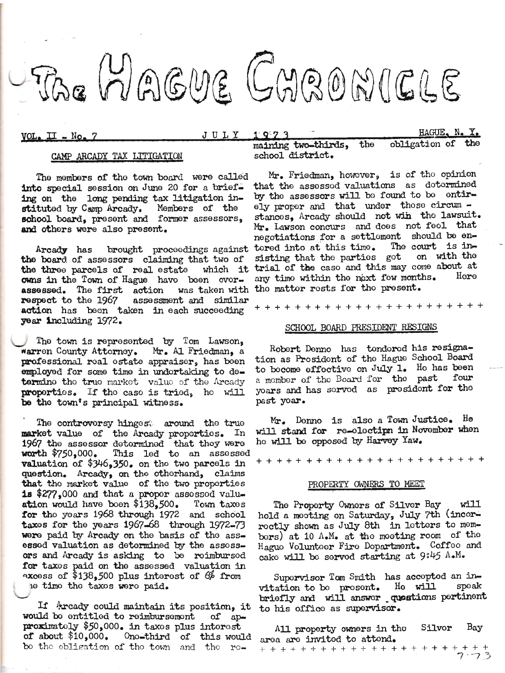

 $VOL<sub>2</sub> II - No. 7$ 

JULY  $1973$  HAGUE, N. Y.

### CAMP ARCADY TAX LITIGATION

The members of the town board were called into special session on June 20 for a brief. ing on the long pending tax litigation instituted by Camp Arcady. Members of the school board, present and former assessors. and others were also present.

the board of assessors claiming that two of the three parcels of real estate which it owns in the Town of Hague have been overassessed. The first action was taken with respect to the 1967 assessment and similar action has been taken in each succeeding year including 1972.

The town is represented by Tom Lawson, warren County Attorney. Mr. Al Friedman, a professional real estate appraiser, has been employed for some time in undortaking to determine the true market value of the Arcady properties. If the case is tried, he will be the town's principal witness.

The controversy hingest around the true market value of the Arcady proporties. In 1967 the assessor determined that they were<br>worth  $$750,000$ . This led to an assessed **valuation of \$346,350.** on the two parcels in question. Arcady, on the otherhand, claims that the market value of the two properties is \$277,000 and that a proper assessed valuation would have boen \$138,500. Town taxes for the years 1968 through 1972 and school taxes for the years 1967-68 through 1972-73 were paid by Arcady on the basis of the assessed valuation as determined by the assessors and Arcady is asking to be reimbursed for taxes paid on the assessed valuation in excess of \$138,500 plus interest of  $6\%$  from le time the taxes were paid.

If Arcady could maintain its position, it would be entitled to reimbursement of approximately \$50,000. in taxes plus interest of about \$10,000. One-third of this would bo the obligation of the town and the re-

maining two-thirds, the obligation of the school district.

Mr. Friedman, however, is of the opinion that the assessed valuations as determined by the assessors will be found to be entirely proper and that under those circum stances, Arcady should not win the lawsuit. Mr. Lawson concurs and does not feel that negotiations for a settlement should be en-Arcady has brought proceedings against tered into at this time. The court is insisting that the parties got on with the trial of the caso and this may come about at any timo within the noxt few months. Hore the matter rests for the present.

+ + + + + + + + + + + + + + + + + + +

#### SCHOOL BOARD PRESIDENT RESIGNS

Robert Denno has tondored his resignation as Prosidont of the Hague School Board to become effective on July 1. He has been four a member of the Board for the past yoars and has served as president for the past yoar.

Mr. Denno is also a Town Justice. He will stand for re-electipn in November when he will be opposed by Harvey Yaw.

#### PROPERTY OWNERS TO MEET

The Property Owners of Silver Bay will hold a mooting on Saturday, July 7th (incorroctly shown as July 8th in lotters to membors) at 10 A.M. at the moeting room of the Haguo Voluntoer Fire Dopartment. Coffee and cake will be served starting at 9:45 A.M.

Supervisor Tom Smith has accepted an invitation to be present. He will speak<br>briefly and will answer questions pertinent to his office as supervisor.

 $\rm\,Bay$ Silvor All property owners in the area are invited to attend.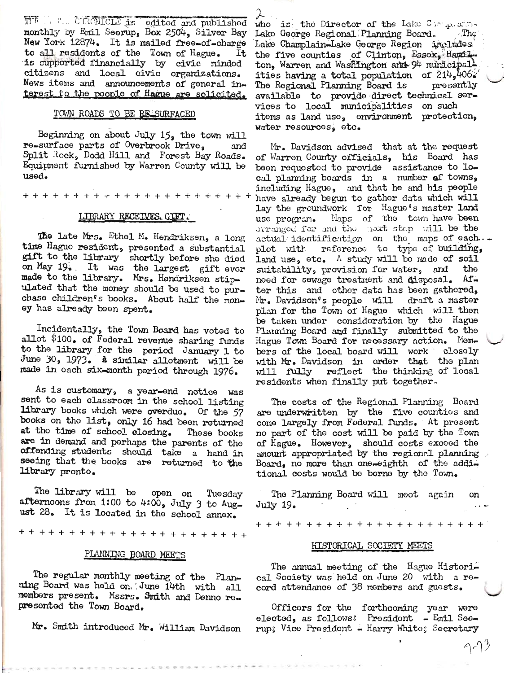THE PRECINCING Service of Society and published<br>monthly by Emil Seerve, Box 2504, Silver Bay New York 12874. It is mailed free-of-charge to all residents of the Town of Hague. It is supported financially by civic minded citizens and local civic organizations. News items and announcements of general interest to the people of Hague are solicited.

## TOWN ROADS TO BE RE SURFACED

Beginning on about July  $15<sub>s</sub>$  the town will re-surface parts of Overbrook Drive, and Split Rock, Dodd Hill and Forest Bay Roads. Equipment furnished by Warren County will be used.

## LIBRARY RECEIVES. GIFT.

The late Mrs. Ethel M. Hendriksen, a long time Hague resident, presented a substantial gift to the library shortly before she died on May 19. It was the largest gift ever made to the library. Mrs. Hendriksen stipulated that the money should be used to purchase children's books. About half the money has already been spent.

Incidentally, the Town Board has voted to allot \$100. of Federal revenue sharing funds to the library for the period January 1 to June 30, 1973. A similar allotment will be made in each six-month period through 1976.

As is customary, a year-end notice was sent to each classroom in the school listing library books which were overdue. Of the 57 books on the list, only 16 had been returned at the time of school closing. These books are in demand and perhaps the parents of the offending students should take a hand in seeing that the books are returned to the library pronto.

The library will be open on Tuesday afternoons from 1:00 to 4:00, July 3 to August 28. It is located in the school annex.

#### PLANNING BOARD MEETS

The regular monthly meeting of the Planning Board was held on. June 14th with all members present. Mssrs. Smith and Denno represented the Town Board.

Mr. Smith introduced Mr. William Davidson

who is the Director of the Lake Companion Lake George Regional Planning Board.  $\mathbf{The}$ Lake Champlain-Lake George Region includes the five counties of Clinton, Essex, Hamilton. Warren and Washington and 94 municipalities having a total population of  $\tilde{2}14$ ,  $406$ . The Regional Planning Board is presently available to provide direct technical services to local municipalities on such items as land use, environment protection, water resources, etc.

Mr. Davidson advised that at the request of Warren County officials, his Board has been requested to provide assistance to local planning boards in a number of towns, including Hague, and that he and his people have already begun to gather data which will lay the groundwork for Hague's master land use program. Maps of the town have been arranged for and the next step will be the actual identification on the maps of each... plot with reference to type of building, land use, etc. A study will be made of soil suitability, provision for water, and tho need for sewage treatment and disposal.  $Af$ ter this and other data has been gathered, Mr. Davidson's people will draft a master plan for the Town of Hague which will then be taken under consideration by the Hague Planning Board and finally submitted to the Hague Town Board for necessary action. Members of the local board will work closely with Mr. Davidson in order that the plan will fully reflect the thinking of local residents when finally put together.

The costs of the Regional Planning Board are underwritten by the five counties and come largely from Federal funds. At present no part of the cost will be paid by the Town of Hague. However, should costs exceed the amount appropriated by the regional planning Board, no more than one-eighth of the additional costs would be borne by the Town.

The Planning Board will meet again on July 19.

#### HISTORICAL SOCIETY MEETS

The annual meeting of the Hague Historical Society was held on June 20 with a record attendance of 38 members and guests.

Officers for the forthcoming year were elected, as follows: President - Emil Seerup: Vice President - Harry White: Secretary

へいう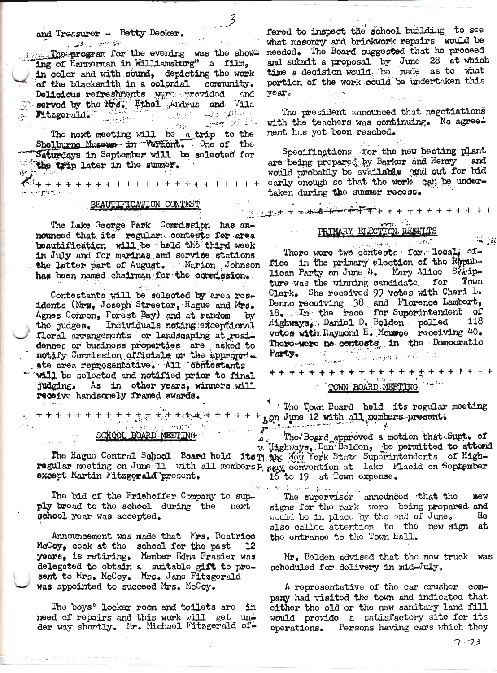y natyme

+ + + + +

with the state The program for the evening was the showing of Hammerman in Williamsburg" a film, in color and with sound, depicting the work of the blacksmith in a colonial community. Delicious refreshments were provided and served by the Mrs. Ethol Andrus and Vila s and Bros. The Line and the Fitzgerald. ු<sub>ස්</sub>ලෙස ගේ ඕඩා

بالعواقب The next meeting will be a trip to the<br>Shelburne Museum in Vermont. One of the Saturdays in September will be selected for the trip later in the summer. ់ជារៀនចំន

#### BEAUTIFICATION CONTEST

The Lake George Park Commission has announced that its regulare contests for area beautification will be held the third week in July and for marinas and service stations the latter part of August. Marion Johnson has been named chairman for the commission.

Contestants will be selected by area residents (Mrs. Joseph Streeter, Hague and Mrs. Agnes Conron, Forest Bay) and at random . by the judges. Individuals noting exceptional floral arrangements or landsqaping at residences or business properties are asked to notify Commission officials or the appropria ate area reprosentative. All contestants will be sclected and notified prior to final judging. As in other years, winners will receive handsomely framed awards.

si oblac k SCHOOL BOARD MEETING

<del>ੁਸ ਦਾ ਦ੍ਰੀ ਦ<sub>ੀ</sub> ਗਿਰਪੁਕ</del>ਰੇ<del>ਜ ਦਾ ਦਾ ਦਾ</del>

except Martin Fitzgerald present.

The bid of the Friehoffer Company to supply bread to the school during the next school year was accepted.

Announcement was made that Mrs. Boatrice McCoy, cook at the school for the past ٦2 years, is retiring. Member Edna Frasier was delegated to obtain a suitable gift to present to Mrs. McCoy. Mrs. Jane Fitzgerald was appointed to succeed Mrs. McCoy.

The boys' looker room and toilets are in need of repairs and this work will get under way shortly. Mr. Michael Fitzgerald of-

fered to inspect the school building to see what masonry and brickwork repairs would be needed. The Board suggested that he proceed and submit a proposal by June 28 at which<br>time a decision would be made as to what portion of the work could be undertaken this vear.

The president announced that negotiations with the teachers was continuing. No agreement has yet been reached.

Specifications for the new heating plant<br>are being prepared by Barker and Henry and would probably be available and out for bid early enough so that the work can be undertaken during the summer recess.

## PRIMARY ELECTION RESHLTS

There were two contests for local of-Moe in the primary election of the Republican Party on June 4. Mary Alice Statip-Town ture was the winning candidate. for Clerk. She received 99 votes with Cheri L. Denno receiving 38 and Florence Lambert,  $18$ . In the race for Superintendent of Highways, Daniel D. Bolden polled 118<br>votos with Raymond H. Monsoe receiving 40. There-were no contests in the Domocratic Party.

**+++++++++** + + + + + +++++++

# TOWN BOARD MEETING

 $^{\prime}$  . The Town Board held its regular meeting ton June 12 with all members present.

Tho. Board approved a motion that Supt. of v. Highways, Dan Beldon, be permitted to attend The Hague Central School Board held its Timbo Mow York State Superintendents of High-regular meeting on June 11 with all members P,  $_{\text{P,QX}}$  convention at Lake Placid on September 16 to 19 at Town expense.

The supervisor announced that the  $\frac{1}{2}$ mew signs for the park were being prepared and He would be in place by the end of June. also called attention to the new sign at the entrance to the Town Hall.

Mr. Belden advised that the new truck was scheduled for delivery in mid-July.

A reprosentative of the car crushor company had visited the town and indicated that either the old or the new sanitary land fill would provide a satisfactory site for its operations. Persons having cars which they